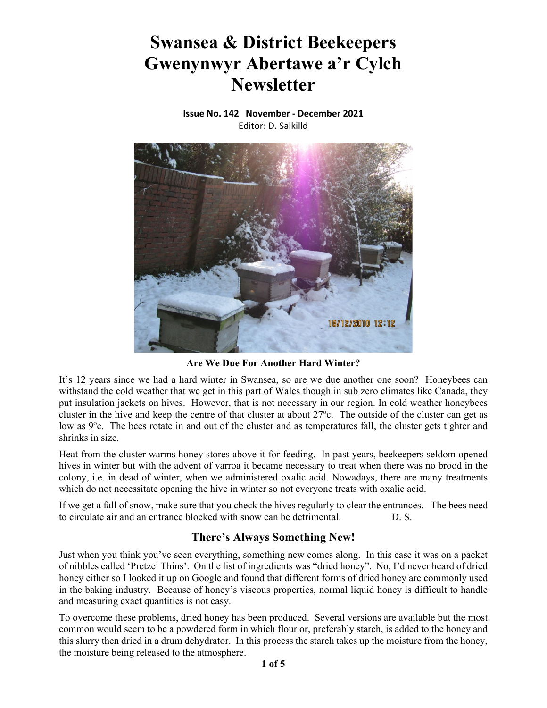# **Swansea & District Beekeepers Gwenynwyr Abertawe a'r Cylch Newsletter**

**Issue No. 142 November ‐ December 2021** Editor: D. Salkilld



**Are We Due For Another Hard Winter?** 

It's 12 years since we had a hard winter in Swansea, so are we due another one soon? Honeybees can withstand the cold weather that we get in this part of Wales though in sub zero climates like Canada, they put insulation jackets on hives. However, that is not necessary in our region. In cold weather honeybees cluster in the hive and keep the centre of that cluster at about  $27^{\circ}$ c. The outside of the cluster can get as low as 9°c. The bees rotate in and out of the cluster and as temperatures fall, the cluster gets tighter and shrinks in size.

Heat from the cluster warms honey stores above it for feeding. In past years, beekeepers seldom opened hives in winter but with the advent of varroa it became necessary to treat when there was no brood in the colony, i.e. in dead of winter, when we administered oxalic acid. Nowadays, there are many treatments which do not necessitate opening the hive in winter so not everyone treats with oxalic acid.

If we get a fall of snow, make sure that you check the hives regularly to clear the entrances. The bees need to circulate air and an entrance blocked with snow can be detrimental. D. S.

## **There's Always Something New!**

Just when you think you've seen everything, something new comes along. In this case it was on a packet of nibbles called 'Pretzel Thins'. On the list of ingredients was "dried honey". No, I'd never heard of dried honey either so I looked it up on Google and found that different forms of dried honey are commonly used in the baking industry. Because of honey's viscous properties, normal liquid honey is difficult to handle and measuring exact quantities is not easy.

To overcome these problems, dried honey has been produced. Several versions are available but the most common would seem to be a powdered form in which flour or, preferably starch, is added to the honey and this slurry then dried in a drum dehydrator. In this process the starch takes up the moisture from the honey, the moisture being released to the atmosphere.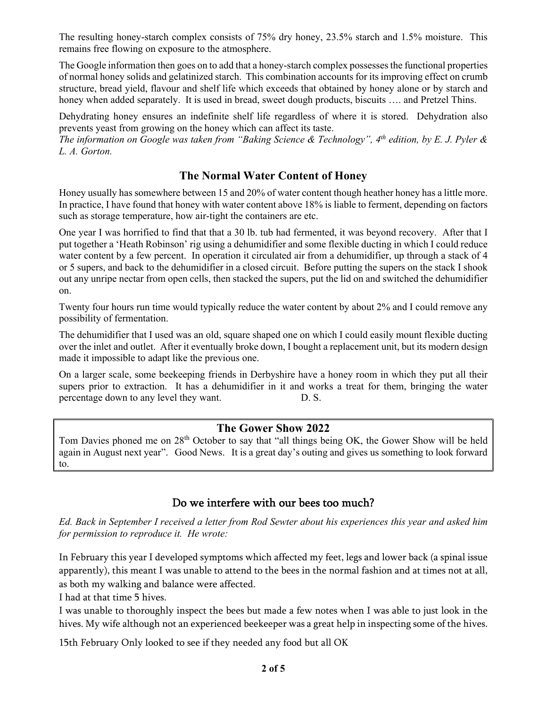The resulting honey-starch complex consists of 75% dry honey, 23.5% starch and 1.5% moisture. This remains free flowing on exposure to the atmosphere.

The Google information then goes on to add that a honey-starch complex possesses the functional properties of normal honey solids and gelatinized starch. This combination accounts for its improving effect on crumb structure, bread yield, flavour and shelf life which exceeds that obtained by honey alone or by starch and honey when added separately. It is used in bread, sweet dough products, biscuits …. and Pretzel Thins.

Dehydrating honey ensures an indefinite shelf life regardless of where it is stored. Dehydration also prevents yeast from growing on the honey which can affect its taste.

*The information on Google was taken from "Baking Science & Technology", 4th edition, by E. J. Pyler & L. A. Gorton.* 

## **The Normal Water Content of Honey**

Honey usually has somewhere between 15 and 20% of water content though heather honey has a little more. In practice, I have found that honey with water content above 18% is liable to ferment, depending on factors such as storage temperature, how air-tight the containers are etc.

One year I was horrified to find that that a 30 lb. tub had fermented, it was beyond recovery. After that I put together a 'Heath Robinson' rig using a dehumidifier and some flexible ducting in which I could reduce water content by a few percent. In operation it circulated air from a dehumidifier, up through a stack of 4 or 5 supers, and back to the dehumidifier in a closed circuit. Before putting the supers on the stack I shook out any unripe nectar from open cells, then stacked the supers, put the lid on and switched the dehumidifier on.

Twenty four hours run time would typically reduce the water content by about 2% and I could remove any possibility of fermentation.

The dehumidifier that I used was an old, square shaped one on which I could easily mount flexible ducting over the inlet and outlet. After it eventually broke down, I bought a replacement unit, but its modern design made it impossible to adapt like the previous one.

On a larger scale, some beekeeping friends in Derbyshire have a honey room in which they put all their supers prior to extraction. It has a dehumidifier in it and works a treat for them, bringing the water percentage down to any level they want. D. S.

#### **The Gower Show 2022**

Tom Davies phoned me on 28<sup>th</sup> October to say that "all things being OK, the Gower Show will be held again in August next year". Good News. It is a great day's outing and gives us something to look forward to.

## Do we interfere with our bees too much?

*Ed. Back in September I received a letter from Rod Sewter about his experiences this year and asked him for permission to reproduce it. He wrote:* 

In February this year I developed symptoms which affected my feet, legs and lower back (a spinal issue apparently), this meant I was unable to attend to the bees in the normal fashion and at times not at all, as both my walking and balance were affected.

I had at that time 5 hives.

I was unable to thoroughly inspect the bees but made a few notes when I was able to just look in the hives. My wife although not an experienced beekeeper was a great help in inspecting some of the hives.

15th February Only looked to see if they needed any food but all OK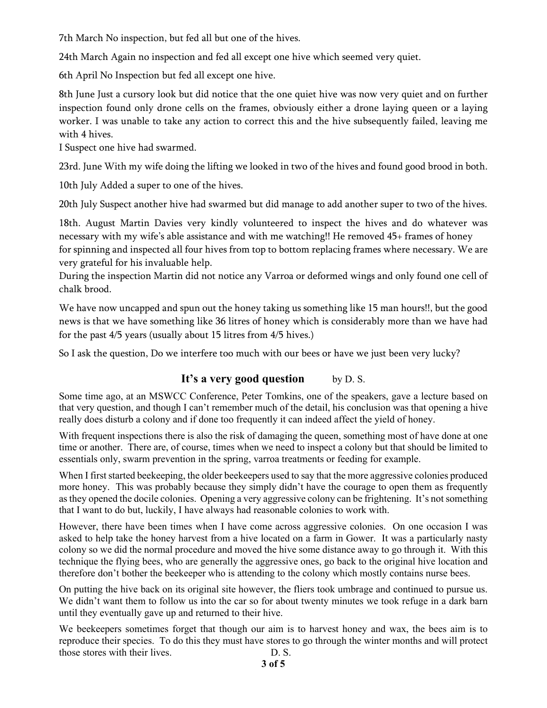7th March No inspection, but fed all but one of the hives.

24th March Again no inspection and fed all except one hive which seemed very quiet.

6th April No Inspection but fed all except one hive.

8th June Just a cursory look but did notice that the one quiet hive was now very quiet and on further inspection found only drone cells on the frames, obviously either a drone laying queen or a laying worker. I was unable to take any action to correct this and the hive subsequently failed, leaving me with 4 hives.

I Suspect one hive had swarmed.

23rd. June With my wife doing the lifting we looked in two of the hives and found good brood in both.

10th July Added a super to one of the hives.

20th July Suspect another hive had swarmed but did manage to add another super to two of the hives.

18th. August Martin Davies very kindly volunteered to inspect the hives and do whatever was necessary with my wife's able assistance and with me watching!! He removed 45+ frames of honey for spinning and inspected all four hives from top to bottom replacing frames where necessary. We are very grateful for his invaluable help.

During the inspection Martin did not notice any Varroa or deformed wings and only found one cell of chalk brood.

We have now uncapped and spun out the honey taking us something like 15 man hours!!, but the good news is that we have something like 36 litres of honey which is considerably more than we have had for the past 4/5 years (usually about 15 litres from 4/5 hives.)

So I ask the question, Do we interfere too much with our bees or have we just been very lucky?

## It's a very good question by D. S.

Some time ago, at an MSWCC Conference, Peter Tomkins, one of the speakers, gave a lecture based on that very question, and though I can't remember much of the detail, his conclusion was that opening a hive really does disturb a colony and if done too frequently it can indeed affect the yield of honey.

With frequent inspections there is also the risk of damaging the queen, something most of have done at one time or another. There are, of course, times when we need to inspect a colony but that should be limited to essentials only, swarm prevention in the spring, varroa treatments or feeding for example.

When I first started beekeeping, the older beekeepers used to say that the more aggressive colonies produced more honey. This was probably because they simply didn't have the courage to open them as frequently as they opened the docile colonies. Opening a very aggressive colony can be frightening. It's not something that I want to do but, luckily, I have always had reasonable colonies to work with.

However, there have been times when I have come across aggressive colonies. On one occasion I was asked to help take the honey harvest from a hive located on a farm in Gower. It was a particularly nasty colony so we did the normal procedure and moved the hive some distance away to go through it. With this technique the flying bees, who are generally the aggressive ones, go back to the original hive location and therefore don't bother the beekeeper who is attending to the colony which mostly contains nurse bees.

On putting the hive back on its original site however, the fliers took umbrage and continued to pursue us. We didn't want them to follow us into the car so for about twenty minutes we took refuge in a dark barn until they eventually gave up and returned to their hive.

We beekeepers sometimes forget that though our aim is to harvest honey and wax, the bees aim is to reproduce their species. To do this they must have stores to go through the winter months and will protect those stores with their lives. D. S.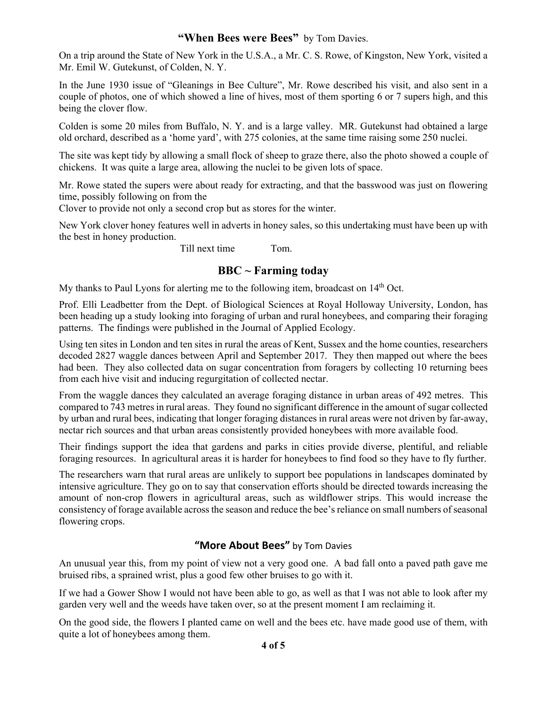#### "When Bees were Bees" by Tom Davies.

On a trip around the State of New York in the U.S.A., a Mr. C. S. Rowe, of Kingston, New York, visited a Mr. Emil W. Gutekunst, of Colden, N. Y.

In the June 1930 issue of "Gleanings in Bee Culture", Mr. Rowe described his visit, and also sent in a couple of photos, one of which showed a line of hives, most of them sporting 6 or 7 supers high, and this being the clover flow.

Colden is some 20 miles from Buffalo, N. Y. and is a large valley. MR. Gutekunst had obtained a large old orchard, described as a 'home yard', with 275 colonies, at the same time raising some 250 nuclei.

The site was kept tidy by allowing a small flock of sheep to graze there, also the photo showed a couple of chickens. It was quite a large area, allowing the nuclei to be given lots of space.

Mr. Rowe stated the supers were about ready for extracting, and that the basswood was just on flowering time, possibly following on from the

Clover to provide not only a second crop but as stores for the winter.

New York clover honey features well in adverts in honey sales, so this undertaking must have been up with the best in honey production.

Till next time Tom.

## **BBC ~ Farming today**

My thanks to Paul Lyons for alerting me to the following item, broadcast on 14<sup>th</sup> Oct.

Prof. Elli Leadbetter from the Dept. of Biological Sciences at Royal Holloway University, London, has been heading up a study looking into foraging of urban and rural honeybees, and comparing their foraging patterns. The findings were published in the Journal of Applied Ecology.

Using ten sites in London and ten sites in rural the areas of Kent, Sussex and the home counties, researchers decoded 2827 waggle dances between April and September 2017. They then mapped out where the bees had been. They also collected data on sugar concentration from foragers by collecting 10 returning bees from each hive visit and inducing regurgitation of collected nectar.

From the waggle dances they calculated an average foraging distance in urban areas of 492 metres. This compared to 743 metres in rural areas. They found no significant difference in the amount of sugar collected by urban and rural bees, indicating that longer foraging distances in rural areas were not driven by far-away, nectar rich sources and that urban areas consistently provided honeybees with more available food.

Their findings support the idea that gardens and parks in cities provide diverse, plentiful, and reliable foraging resources. In agricultural areas it is harder for honeybees to find food so they have to fly further.

The researchers warn that rural areas are unlikely to support bee populations in landscapes dominated by intensive agriculture. They go on to say that conservation efforts should be directed towards increasing the amount of non-crop flowers in agricultural areas, such as wildflower strips. This would increase the consistency of forage available across the season and reduce the bee's reliance on small numbers of seasonal flowering crops.

#### **"More About Bees"** by Tom Davies

An unusual year this, from my point of view not a very good one. A bad fall onto a paved path gave me bruised ribs, a sprained wrist, plus a good few other bruises to go with it.

If we had a Gower Show I would not have been able to go, as well as that I was not able to look after my garden very well and the weeds have taken over, so at the present moment I am reclaiming it.

On the good side, the flowers I planted came on well and the bees etc. have made good use of them, with quite a lot of honeybees among them.